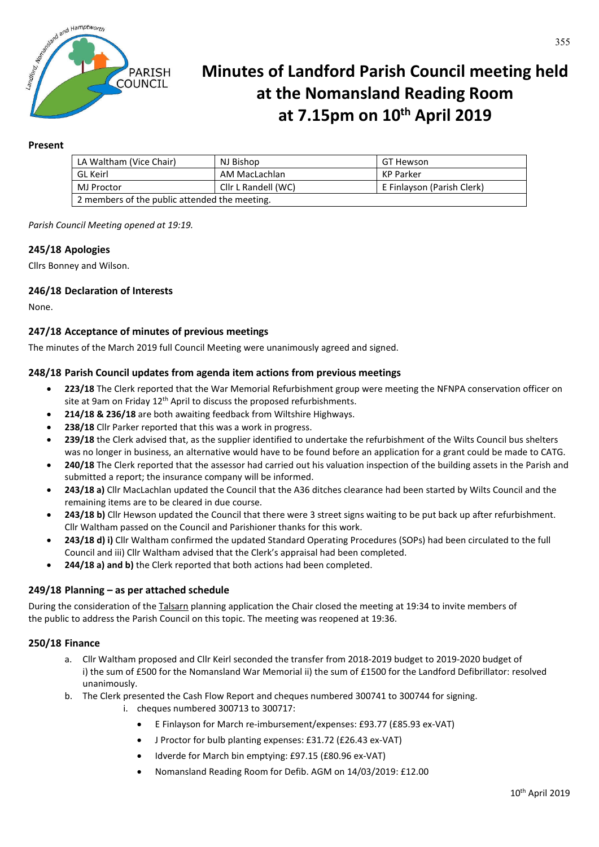

# **Minutes of Landford Parish Council meeting held at the Nomansland Reading Room at 7.15pm on 10th April 2019**

## **Present**

| LA Waltham (Vice Chair)                       | NJ Bishop           | GT Hewson                  |
|-----------------------------------------------|---------------------|----------------------------|
| GL Keirl                                      | AM MacLachlan       | KP Parker                  |
| MJ Proctor                                    | Cllr L Randell (WC) | E Finlayson (Parish Clerk) |
| 2 members of the public attended the meeting. |                     |                            |

*Parish Council Meeting opened at 19:19.*

## **245/18 Apologies**

Cllrs Bonney and Wilson.

## **246/18 Declaration of Interests**

None.

## **247/18 Acceptance of minutes of previous meetings**

The minutes of the March 2019 full Council Meeting were unanimously agreed and signed.

#### **248/18 Parish Council updates from agenda item actions from previous meetings**

- **223/18** The Clerk reported that the War Memorial Refurbishment group were meeting the NFNPA conservation officer on site at 9am on Friday  $12<sup>th</sup>$  April to discuss the proposed refurbishments.
- **214/18 & 236/18** are both awaiting feedback from Wiltshire Highways.
- **238/18** Cllr Parker reported that this was a work in progress.
- **239/18** the Clerk advised that, as the supplier identified to undertake the refurbishment of the Wilts Council bus shelters was no longer in business, an alternative would have to be found before an application for a grant could be made to CATG.
- **240/18** The Clerk reported that the assessor had carried out his valuation inspection of the building assets in the Parish and submitted a report; the insurance company will be informed.
- **243/18 a)** Cllr MacLachlan updated the Council that the A36 ditches clearance had been started by Wilts Council and the remaining items are to be cleared in due course.
- **243/18 b)** Cllr Hewson updated the Council that there were 3 street signs waiting to be put back up after refurbishment. Cllr Waltham passed on the Council and Parishioner thanks for this work.
- **243/18 d) i)** Cllr Waltham confirmed the updated Standard Operating Procedures (SOPs) had been circulated to the full Council and iii) Cllr Waltham advised that the Clerk's appraisal had been completed.
- **244/18 a) and b)** the Clerk reported that both actions had been completed.

#### **249/18 Planning – as per attached schedule**

During the consideration of the Talsarn planning application the Chair closed the meeting at 19:34 to invite members of the public to address the Parish Council on this topic. The meeting was reopened at 19:36.

# **250/18 Finance**

- a. Cllr Waltham proposed and Cllr Keirl seconded the transfer from 2018-2019 budget to 2019-2020 budget of i) the sum of £500 for the Nomansland War Memorial ii) the sum of £1500 for the Landford Defibrillator: resolved unanimously.
- b. The Clerk presented the Cash Flow Report and cheques numbered 300741 to 300744 for signing.
	- i. cheques numbered 300713 to 300717:
		- E Finlayson for March re-imbursement/expenses: £93.77 (£85.93 ex-VAT)
		- J Proctor for bulb planting expenses: £31.72 (£26.43 ex-VAT)
			- Idverde for March bin emptying: £97.15 (£80.96 ex-VAT)
		- Nomansland Reading Room for Defib. AGM on 14/03/2019: £12.00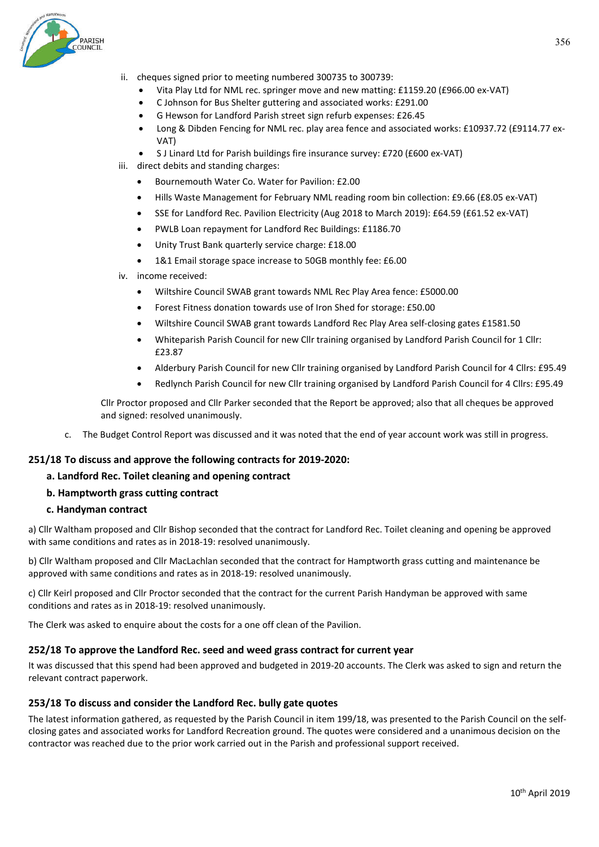356

- ii. cheques signed prior to meeting numbered 300735 to 300739:
	- Vita Play Ltd for NML rec. springer move and new matting: £1159.20 (£966.00 ex-VAT)
	- C Johnson for Bus Shelter guttering and associated works: £291.00
	- G Hewson for Landford Parish street sign refurb expenses: £26.45
	- Long & Dibden Fencing for NML rec. play area fence and associated works: £10937.72 (£9114.77 ex-VAT)
	- S J Linard Ltd for Parish buildings fire insurance survey: £720 (£600 ex-VAT)
- iii. direct debits and standing charges:
	- Bournemouth Water Co. Water for Pavilion: £2.00
	- Hills Waste Management for February NML reading room bin collection: £9.66 (£8.05 ex-VAT)
	- SSE for Landford Rec. Pavilion Electricity (Aug 2018 to March 2019): £64.59 (£61.52 ex-VAT)
	- PWLB Loan repayment for Landford Rec Buildings: £1186.70
	- Unity Trust Bank quarterly service charge: £18.00
	- 1&1 Email storage space increase to 50GB monthly fee: £6.00
- iv. income received:
	- Wiltshire Council SWAB grant towards NML Rec Play Area fence: £5000.00
	- Forest Fitness donation towards use of Iron Shed for storage: £50.00
	- Wiltshire Council SWAB grant towards Landford Rec Play Area self-closing gates £1581.50
	- Whiteparish Parish Council for new Cllr training organised by Landford Parish Council for 1 Cllr: £23.87
	- Alderbury Parish Council for new Cllr training organised by Landford Parish Council for 4 Cllrs: £95.49
	- Redlynch Parish Council for new Cllr training organised by Landford Parish Council for 4 Cllrs: £95.49

Cllr Proctor proposed and Cllr Parker seconded that the Report be approved; also that all cheques be approved and signed: resolved unanimously.

c. The Budget Control Report was discussed and it was noted that the end of year account work was still in progress.

#### **251/18 To discuss and approve the following contracts for 2019-2020:**

#### **a. Landford Rec. Toilet cleaning and opening contract**

**b. Hamptworth grass cutting contract** 

# **c. Handyman contract**

a) Cllr Waltham proposed and Cllr Bishop seconded that the contract for Landford Rec. Toilet cleaning and opening be approved with same conditions and rates as in 2018-19: resolved unanimously.

b) Cllr Waltham proposed and Cllr MacLachlan seconded that the contract for Hamptworth grass cutting and maintenance be approved with same conditions and rates as in 2018-19: resolved unanimously.

c) Cllr Keirl proposed and Cllr Proctor seconded that the contract for the current Parish Handyman be approved with same conditions and rates as in 2018-19: resolved unanimously.

The Clerk was asked to enquire about the costs for a one off clean of the Pavilion.

# **252/18 To approve the Landford Rec. seed and weed grass contract for current year**

It was discussed that this spend had been approved and budgeted in 2019-20 accounts. The Clerk was asked to sign and return the relevant contract paperwork.

# **253/18 To discuss and consider the Landford Rec. bully gate quotes**

The latest information gathered, as requested by the Parish Council in item 199/18, was presented to the Parish Council on the selfclosing gates and associated works for Landford Recreation ground. The quotes were considered and a unanimous decision on the contractor was reached due to the prior work carried out in the Parish and professional support received.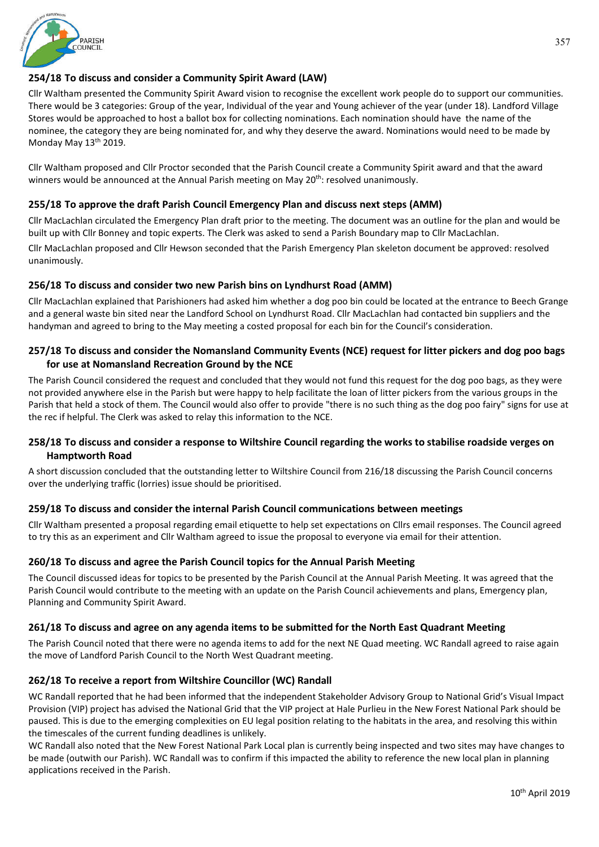# **254/18 To discuss and consider a Community Spirit Award (LAW)**

Cllr Waltham presented the Community Spirit Award vision to recognise the excellent work people do to support our communities. There would be 3 categories: Group of the year, Individual of the year and Young achiever of the year (under 18). Landford Village Stores would be approached to host a ballot box for collecting nominations. Each nomination should have the name of the nominee, the category they are being nominated for, and why they deserve the award. Nominations would need to be made by Monday May 13<sup>th</sup> 2019.

Cllr Waltham proposed and Cllr Proctor seconded that the Parish Council create a Community Spirit award and that the award winners would be announced at the Annual Parish meeting on May 20<sup>th</sup>: resolved unanimously.

# **255/18 To approve the draft Parish Council Emergency Plan and discuss next steps (AMM)**

Cllr MacLachlan circulated the Emergency Plan draft prior to the meeting. The document was an outline for the plan and would be built up with Cllr Bonney and topic experts. The Clerk was asked to send a Parish Boundary map to Cllr MacLachlan.

Cllr MacLachlan proposed and Cllr Hewson seconded that the Parish Emergency Plan skeleton document be approved: resolved unanimously.

# **256/18 To discuss and consider two new Parish bins on Lyndhurst Road (AMM)**

Cllr MacLachlan explained that Parishioners had asked him whether a dog poo bin could be located at the entrance to Beech Grange and a general waste bin sited near the Landford School on Lyndhurst Road. Cllr MacLachlan had contacted bin suppliers and the handyman and agreed to bring to the May meeting a costed proposal for each bin for the Council's consideration.

# **257/18 To discuss and consider the Nomansland Community Events (NCE) request for litter pickers and dog poo bags for use at Nomansland Recreation Ground by the NCE**

The Parish Council considered the request and concluded that they would not fund this request for the dog poo bags, as they were not provided anywhere else in the Parish but were happy to help facilitate the loan of litter pickers from the various groups in the Parish that held a stock of them. The Council would also offer to provide "there is no such thing as the dog poo fairy" signs for use at the rec if helpful. The Clerk was asked to relay this information to the NCE.

# **258/18 To discuss and consider a response to Wiltshire Council regarding the works to stabilise roadside verges on Hamptworth Road**

A short discussion concluded that the outstanding letter to Wiltshire Council from 216/18 discussing the Parish Council concerns over the underlying traffic (lorries) issue should be prioritised.

# **259/18 To discuss and consider the internal Parish Council communications between meetings**

Cllr Waltham presented a proposal regarding email etiquette to help set expectations on Cllrs email responses. The Council agreed to try this as an experiment and Cllr Waltham agreed to issue the proposal to everyone via email for their attention.

# **260/18 To discuss and agree the Parish Council topics for the Annual Parish Meeting**

The Council discussed ideas for topics to be presented by the Parish Council at the Annual Parish Meeting. It was agreed that the Parish Council would contribute to the meeting with an update on the Parish Council achievements and plans, Emergency plan, Planning and Community Spirit Award.

# **261/18 To discuss and agree on any agenda items to be submitted for the North East Quadrant Meeting**

The Parish Council noted that there were no agenda items to add for the next NE Quad meeting. WC Randall agreed to raise again the move of Landford Parish Council to the North West Quadrant meeting.

# **262/18 To receive a report from Wiltshire Councillor (WC) Randall**

WC Randall reported that he had been informed that the independent Stakeholder Advisory Group to National Grid's Visual Impact Provision (VIP) project has advised the National Grid that the VIP project at Hale Purlieu in the New Forest National Park should be paused. This is due to the emerging complexities on EU legal position relating to the habitats in the area, and resolving this within the timescales of the current funding deadlines is unlikely.

WC Randall also noted that the New Forest National Park Local plan is currently being inspected and two sites may have changes to be made (outwith our Parish). WC Randall was to confirm if this impacted the ability to reference the new local plan in planning applications received in the Parish.